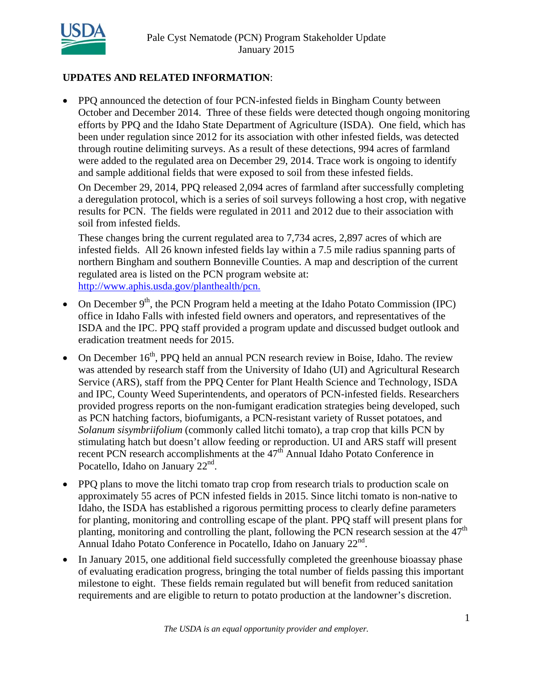

## **UPDATES AND RELATED INFORMATION**:

 PPQ announced the detection of four PCN-infested fields in Bingham County between October and December 2014. Three of these fields were detected though ongoing monitoring efforts by PPQ and the Idaho State Department of Agriculture (ISDA). One field, which has been under regulation since 2012 for its association with other infested fields, was detected through routine delimiting surveys. As a result of these detections, 994 acres of farmland were added to the regulated area on December 29, 2014. Trace work is ongoing to identify and sample additional fields that were exposed to soil from these infested fields.

On December 29, 2014, PPQ released 2,094 acres of farmland after successfully completing a deregulation protocol, which is a series of soil surveys following a host crop, with negative results for PCN. The fields were regulated in 2011 and 2012 due to their association with soil from infested fields.

These changes bring the current regulated area to 7,734 acres, 2,897 acres of which are infested fields. All 26 known infested fields lay within a 7.5 mile radius spanning parts of northern Bingham and southern Bonneville Counties. A map and description of the current regulated area is listed on the PCN program website at: http://www.aphis.usda.gov/planthealth/pcn.

- On December  $9<sup>th</sup>$ , the PCN Program held a meeting at the Idaho Potato Commission (IPC) office in Idaho Falls with infested field owners and operators, and representatives of the ISDA and the IPC. PPQ staff provided a program update and discussed budget outlook and eradication treatment needs for 2015.
- On December  $16<sup>th</sup>$ , PPQ held an annual PCN research review in Boise, Idaho. The review was attended by research staff from the University of Idaho (UI) and Agricultural Research Service (ARS), staff from the PPQ Center for Plant Health Science and Technology, ISDA and IPC, County Weed Superintendents, and operators of PCN-infested fields. Researchers provided progress reports on the non-fumigant eradication strategies being developed, such as PCN hatching factors, biofumigants, a PCN-resistant variety of Russet potatoes, and *Solanum sisymbriifolium* (commonly called litchi tomato), a trap crop that kills PCN by stimulating hatch but doesn't allow feeding or reproduction. UI and ARS staff will present recent PCN research accomplishments at the  $47<sup>th</sup>$  Annual Idaho Potato Conference in Pocatello, Idaho on January  $22<sup>nd</sup>$ .
- PPQ plans to move the litchi tomato trap crop from research trials to production scale on approximately 55 acres of PCN infested fields in 2015. Since litchi tomato is non-native to Idaho, the ISDA has established a rigorous permitting process to clearly define parameters for planting, monitoring and controlling escape of the plant. PPQ staff will present plans for planting, monitoring and controlling the plant, following the PCN research session at the 47<sup>th</sup> Annual Idaho Potato Conference in Pocatello, Idaho on January  $22<sup>nd</sup>$ .
- In January 2015, one additional field successfully completed the greenhouse bioassay phase of evaluating eradication progress, bringing the total number of fields passing this important milestone to eight. These fields remain regulated but will benefit from reduced sanitation requirements and are eligible to return to potato production at the landowner's discretion.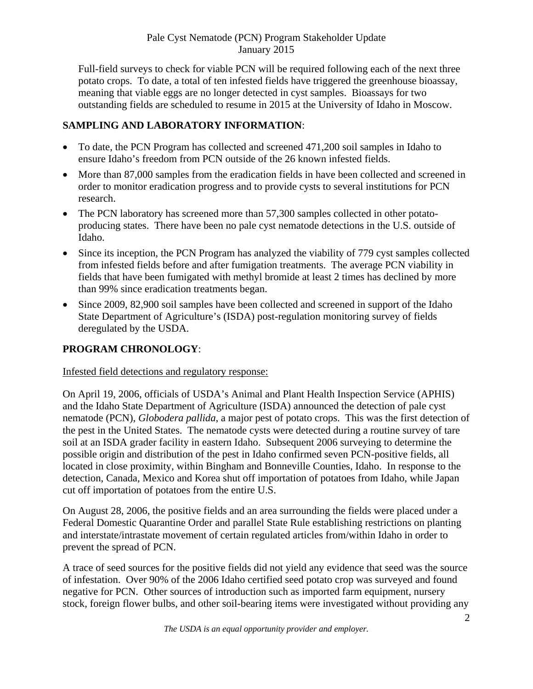Full-field surveys to check for viable PCN will be required following each of the next three potato crops. To date, a total of ten infested fields have triggered the greenhouse bioassay, meaning that viable eggs are no longer detected in cyst samples. Bioassays for two outstanding fields are scheduled to resume in 2015 at the University of Idaho in Moscow.

## **SAMPLING AND LABORATORY INFORMATION**:

- To date, the PCN Program has collected and screened 471,200 soil samples in Idaho to ensure Idaho's freedom from PCN outside of the 26 known infested fields.
- More than 87,000 samples from the eradication fields in have been collected and screened in order to monitor eradication progress and to provide cysts to several institutions for PCN research.
- The PCN laboratory has screened more than 57,300 samples collected in other potatoproducing states. There have been no pale cyst nematode detections in the U.S. outside of Idaho.
- Since its inception, the PCN Program has analyzed the viability of 779 cyst samples collected from infested fields before and after fumigation treatments. The average PCN viability in fields that have been fumigated with methyl bromide at least 2 times has declined by more than 99% since eradication treatments began.
- Since 2009, 82,900 soil samples have been collected and screened in support of the Idaho State Department of Agriculture's (ISDA) post-regulation monitoring survey of fields deregulated by the USDA.

# **PROGRAM CHRONOLOGY**:

## Infested field detections and regulatory response:

On April 19, 2006, officials of USDA's Animal and Plant Health Inspection Service (APHIS) and the Idaho State Department of Agriculture (ISDA) announced the detection of pale cyst nematode (PCN), *Globodera pallida*, a major pest of potato crops. This was the first detection of the pest in the United States. The nematode cysts were detected during a routine survey of tare soil at an ISDA grader facility in eastern Idaho. Subsequent 2006 surveying to determine the possible origin and distribution of the pest in Idaho confirmed seven PCN-positive fields, all located in close proximity, within Bingham and Bonneville Counties, Idaho. In response to the detection, Canada, Mexico and Korea shut off importation of potatoes from Idaho, while Japan cut off importation of potatoes from the entire U.S.

On August 28, 2006, the positive fields and an area surrounding the fields were placed under a Federal Domestic Quarantine Order and parallel State Rule establishing restrictions on planting and interstate/intrastate movement of certain regulated articles from/within Idaho in order to prevent the spread of PCN.

A trace of seed sources for the positive fields did not yield any evidence that seed was the source of infestation. Over 90% of the 2006 Idaho certified seed potato crop was surveyed and found negative for PCN. Other sources of introduction such as imported farm equipment, nursery stock, foreign flower bulbs, and other soil-bearing items were investigated without providing any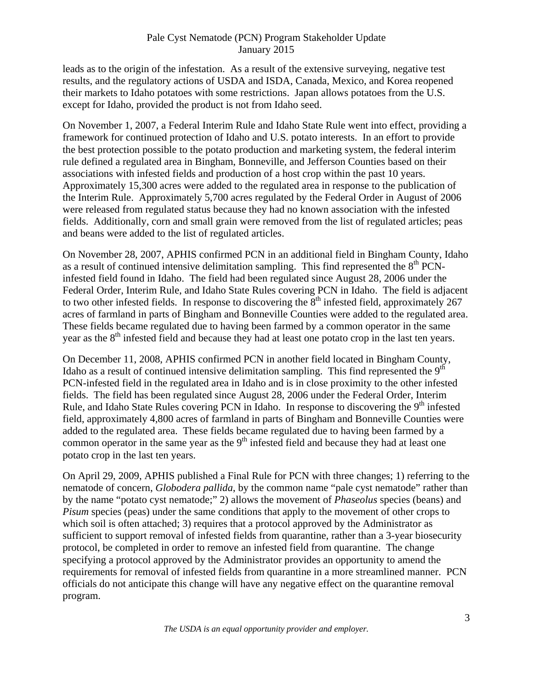#### Pale Cyst Nematode (PCN) Program Stakeholder Update January 2015

leads as to the origin of the infestation. As a result of the extensive surveying, negative test results, and the regulatory actions of USDA and ISDA, Canada, Mexico, and Korea reopened their markets to Idaho potatoes with some restrictions. Japan allows potatoes from the U.S. except for Idaho, provided the product is not from Idaho seed.

On November 1, 2007, a Federal Interim Rule and Idaho State Rule went into effect, providing a framework for continued protection of Idaho and U.S. potato interests. In an effort to provide the best protection possible to the potato production and marketing system, the federal interim rule defined a regulated area in Bingham, Bonneville, and Jefferson Counties based on their associations with infested fields and production of a host crop within the past 10 years. Approximately 15,300 acres were added to the regulated area in response to the publication of the Interim Rule. Approximately 5,700 acres regulated by the Federal Order in August of 2006 were released from regulated status because they had no known association with the infested fields. Additionally, corn and small grain were removed from the list of regulated articles; peas and beans were added to the list of regulated articles.

On November 28, 2007, APHIS confirmed PCN in an additional field in Bingham County, Idaho as a result of continued intensive delimitation sampling. This find represented the  $8<sup>th</sup>$  PCNinfested field found in Idaho. The field had been regulated since August 28, 2006 under the Federal Order, Interim Rule, and Idaho State Rules covering PCN in Idaho. The field is adjacent to two other infested fields. In response to discovering the  $8<sup>th</sup>$  infested field, approximately 267 acres of farmland in parts of Bingham and Bonneville Counties were added to the regulated area. These fields became regulated due to having been farmed by a common operator in the same year as the  $8<sup>th</sup>$  infested field and because they had at least one potato crop in the last ten years.

On December 11, 2008, APHIS confirmed PCN in another field located in Bingham County, Idaho as a result of continued intensive delimitation sampling. This find represented the  $9<sup>th</sup>$ PCN-infested field in the regulated area in Idaho and is in close proximity to the other infested fields. The field has been regulated since August 28, 2006 under the Federal Order, Interim Rule, and Idaho State Rules covering PCN in Idaho. In response to discovering the  $9<sup>th</sup>$  infested field, approximately 4,800 acres of farmland in parts of Bingham and Bonneville Counties were added to the regulated area. These fields became regulated due to having been farmed by a common operator in the same year as the  $9<sup>th</sup>$  infested field and because they had at least one potato crop in the last ten years.

On April 29, 2009, APHIS published a Final Rule for PCN with three changes; 1) referring to the nematode of concern, *Globodera pallida*, by the common name "pale cyst nematode" rather than by the name "potato cyst nematode;" 2) allows the movement of *Phaseolus* species (beans) and *Pisum* species (peas) under the same conditions that apply to the movement of other crops to which soil is often attached; 3) requires that a protocol approved by the Administrator as sufficient to support removal of infested fields from quarantine, rather than a 3-year biosecurity protocol, be completed in order to remove an infested field from quarantine. The change specifying a protocol approved by the Administrator provides an opportunity to amend the requirements for removal of infested fields from quarantine in a more streamlined manner. PCN officials do not anticipate this change will have any negative effect on the quarantine removal program.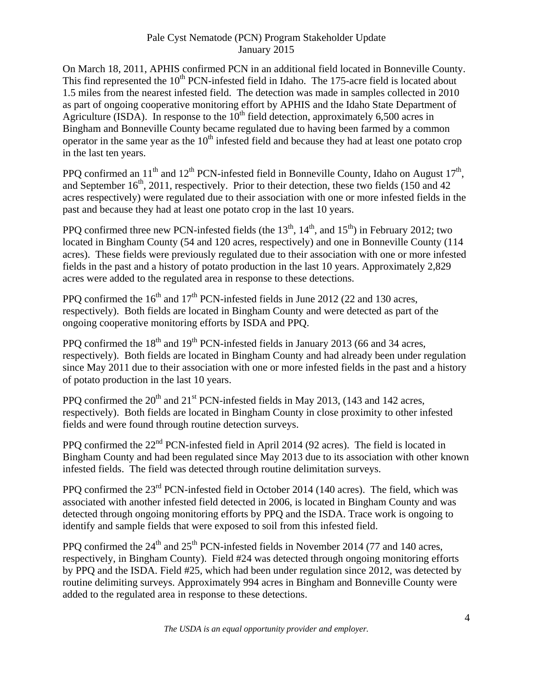#### Pale Cyst Nematode (PCN) Program Stakeholder Update January 2015

On March 18, 2011, APHIS confirmed PCN in an additional field located in Bonneville County. This find represented the  $10<sup>th</sup>$  PCN-infested field in Idaho. The 175-acre field is located about 1.5 miles from the nearest infested field. The detection was made in samples collected in 2010 as part of ongoing cooperative monitoring effort by APHIS and the Idaho State Department of Agriculture (ISDA). In response to the  $10<sup>th</sup>$  field detection, approximately 6,500 acres in Bingham and Bonneville County became regulated due to having been farmed by a common operator in the same year as the  $10<sup>th</sup>$  infested field and because they had at least one potato crop in the last ten years.

PPO confirmed an  $11<sup>th</sup>$  and  $12<sup>th</sup>$  PCN-infested field in Bonneville County, Idaho on August  $17<sup>th</sup>$ , and September  $16<sup>th</sup>$ , 2011, respectively. Prior to their detection, these two fields (150 and 42) acres respectively) were regulated due to their association with one or more infested fields in the past and because they had at least one potato crop in the last 10 years.

PPQ confirmed three new PCN-infested fields (the  $13<sup>th</sup>$ ,  $14<sup>th</sup>$ , and  $15<sup>th</sup>$ ) in February 2012; two located in Bingham County (54 and 120 acres, respectively) and one in Bonneville County (114 acres). These fields were previously regulated due to their association with one or more infested fields in the past and a history of potato production in the last 10 years. Approximately 2,829 acres were added to the regulated area in response to these detections.

PPQ confirmed the  $16<sup>th</sup>$  and  $17<sup>th</sup>$  PCN-infested fields in June 2012 (22 and 130 acres, respectively). Both fields are located in Bingham County and were detected as part of the ongoing cooperative monitoring efforts by ISDA and PPQ.

PPQ confirmed the  $18<sup>th</sup>$  and  $19<sup>th</sup>$  PCN-infested fields in January 2013 (66 and 34 acres, respectively). Both fields are located in Bingham County and had already been under regulation since May 2011 due to their association with one or more infested fields in the past and a history of potato production in the last 10 years.

PPQ confirmed the  $20<sup>th</sup>$  and  $21<sup>st</sup>$  PCN-infested fields in May 2013, (143 and 142 acres, respectively). Both fields are located in Bingham County in close proximity to other infested fields and were found through routine detection surveys.

PPQ confirmed the 22<sup>nd</sup> PCN-infested field in April 2014 (92 acres). The field is located in Bingham County and had been regulated since May 2013 due to its association with other known infested fields. The field was detected through routine delimitation surveys.

PPQ confirmed the 23<sup>rd</sup> PCN-infested field in October 2014 (140 acres). The field, which was associated with another infested field detected in 2006, is located in Bingham County and was detected through ongoing monitoring efforts by PPQ and the ISDA. Trace work is ongoing to identify and sample fields that were exposed to soil from this infested field.

PPO confirmed the  $24<sup>th</sup>$  and  $25<sup>th</sup>$  PCN-infested fields in November 2014 (77 and 140 acres, respectively, in Bingham County). Field #24 was detected through ongoing monitoring efforts by PPQ and the ISDA. Field #25, which had been under regulation since 2012, was detected by routine delimiting surveys. Approximately 994 acres in Bingham and Bonneville County were added to the regulated area in response to these detections.